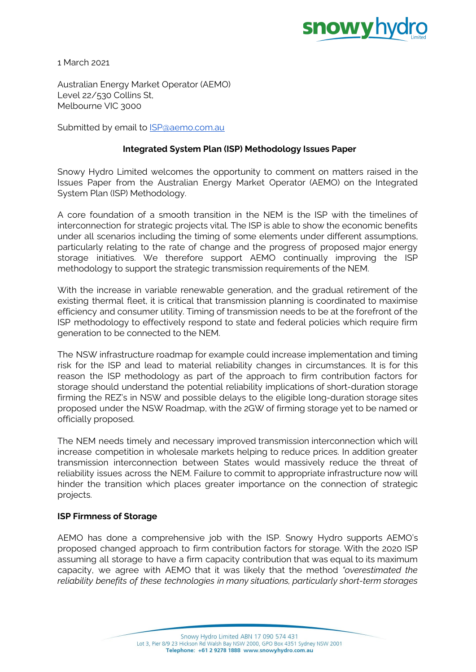

1 March 2021

Australian Energy Market Operator (AEMO) Level 22/530 Collins St, Melbourne VIC 3000

Submitted by email to **SP**@aemo.com.au

## **Integrated System Plan (ISP) Methodology Issues Paper**

Snowy Hydro Limited welcomes the opportunity to comment on matters raised in the Issues Paper from the Australian Energy Market Operator (AEMO) on the Integrated System Plan (ISP) Methodology.

A core foundation of a smooth transition in the NEM is the ISP with the timelines of interconnection for strategic projects vital. The ISP is able to show the economic benefits under all scenarios including the timing of some elements under different assumptions, particularly relating to the rate of change and the progress of proposed major energy storage initiatives. We therefore support AEMO continually improving the ISP methodology to support the strategic transmission requirements of the NEM.

With the increase in variable renewable generation, and the gradual retirement of the existing thermal fleet, it is critical that transmission planning is coordinated to maximise efficiency and consumer utility. Timing of transmission needs to be at the forefront of the ISP methodology to effectively respond to state and federal policies which require firm generation to be connected to the NEM.

The NSW infrastructure roadmap for example could increase implementation and timing risk for the ISP and lead to material reliability changes in circumstances. It is for this reason the ISP methodology as part of the approach to firm contribution factors for storage should understand the potential reliability implications of short-duration storage firming the REZ's in NSW and possible delays to the eligible long-duration storage sites proposed under the NSW Roadmap, with the 2GW of firming storage yet to be named or officially proposed.

The NEM needs timely and necessary improved transmission interconnection which will increase competition in wholesale markets helping to reduce prices. In addition greater transmission interconnection between States would massively reduce the threat of reliability issues across the NEM. Failure to commit to appropriate infrastructure now will hinder the transition which places greater importance on the connection of strategic projects.

## **ISP Firmness of Storage**

AEMO has done a comprehensive job with the ISP. Snowy Hydro supports AEMO's proposed changed approach to firm contribution factors for storage. With the 2020 ISP assuming all storage to have a firm capacity contribution that was equal to its maximum capacity, we agree with AEMO that it was likely that the method *"overestimated the reliability benefits of these technologies in many situations, particularly short-term storages*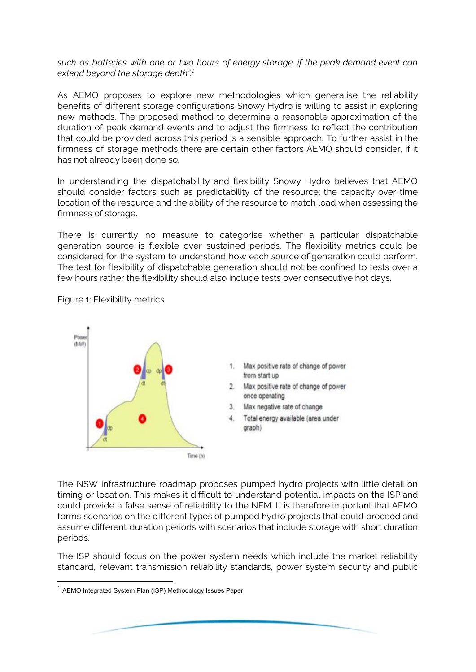*such as batteries with one or two hours of energy storage, if the peak demand event can extend beyond the storage depth". 1*

As AEMO proposes to explore new methodologies which generalise the reliability benefits of different storage configurations Snowy Hydro is willing to assist in exploring new methods. The proposed method to determine a reasonable approximation of the duration of peak demand events and to adjust the firmness to reflect the contribution that could be provided across this period is a sensible approach. To further assist in the firmness of storage methods there are certain other factors AEMO should consider, if it has not already been done so.

In understanding the dispatchability and flexibility Snowy Hydro believes that AEMO should consider factors such as predictability of the resource; the capacity over time location of the resource and the ability of the resource to match load when assessing the firmness of storage.

There is currently no measure to categorise whether a particular dispatchable generation source is flexible over sustained periods. The flexibility metrics could be considered for the system to understand how each source of generation could perform. The test for flexibility of dispatchable generation should not be confined to tests over a few hours rather the flexibility should also include tests over consecutive hot days.



Figure 1: Flexibility metrics

The NSW infrastructure roadmap proposes pumped hydro projects with little detail on timing or location. This makes it difficult to understand potential impacts on the ISP and could provide a false sense of reliability to the NEM. It is therefore important that AEMO forms scenarios on the different types of pumped hydro projects that could proceed and assume different duration periods with scenarios that include storage with short duration periods.

The ISP should focus on the power system needs which include the market reliability standard, relevant transmission reliability standards, power system security and public

<sup>&</sup>lt;sup>1</sup> AEMO Integrated System Plan (ISP) Methodology Issues Paper